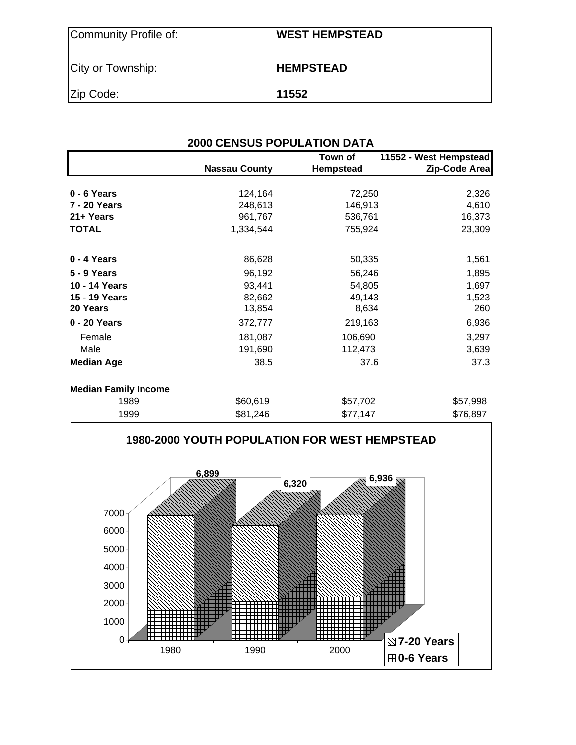| Community Profile of: | <b>WEST HEMPSTEAD</b> |
|-----------------------|-----------------------|
| City or Township:     | <b>HEMPSTEAD</b>      |
| Zip Code:             | 11552                 |

| <b>2000 CENSUS POPULATION DATA</b> |                      |                             |                                         |  |  |  |  |  |  |
|------------------------------------|----------------------|-----------------------------|-----------------------------------------|--|--|--|--|--|--|
|                                    | <b>Nassau County</b> | Town of<br><b>Hempstead</b> | 11552 - West Hempstead<br>Zip-Code Area |  |  |  |  |  |  |
|                                    |                      |                             |                                         |  |  |  |  |  |  |
| $0 - 6$ Years                      | 124,164              | 72,250                      | 2,326                                   |  |  |  |  |  |  |
| 7 - 20 Years                       | 248,613              | 146,913                     | 4,610                                   |  |  |  |  |  |  |
| 21+ Years                          | 961,767              | 536,761                     | 16,373                                  |  |  |  |  |  |  |
| <b>TOTAL</b>                       | 1,334,544            | 755,924                     | 23,309                                  |  |  |  |  |  |  |
| 0 - 4 Years                        | 86,628               | 50,335                      | 1,561                                   |  |  |  |  |  |  |
| 5 - 9 Years                        | 96,192               | 56,246                      | 1,895                                   |  |  |  |  |  |  |
| 10 - 14 Years                      | 93,441               | 54,805                      | 1,697                                   |  |  |  |  |  |  |
| 15 - 19 Years                      | 82,662               | 49,143                      | 1,523                                   |  |  |  |  |  |  |
| 20 Years                           | 13,854               | 8,634                       | 260                                     |  |  |  |  |  |  |
| 0 - 20 Years                       | 372,777              | 219,163                     | 6,936                                   |  |  |  |  |  |  |
| Female                             | 181,087              | 106,690                     | 3,297                                   |  |  |  |  |  |  |
| Male                               | 191,690              | 112,473                     | 3,639                                   |  |  |  |  |  |  |
| <b>Median Age</b>                  | 38.5                 | 37.6                        | 37.3                                    |  |  |  |  |  |  |
| <b>Median Family Income</b>        |                      |                             |                                         |  |  |  |  |  |  |
| 1989                               | \$60,619             | \$57,702                    | \$57,998                                |  |  |  |  |  |  |
| 1999                               | \$81,246             | \$77,147                    | \$76,897                                |  |  |  |  |  |  |

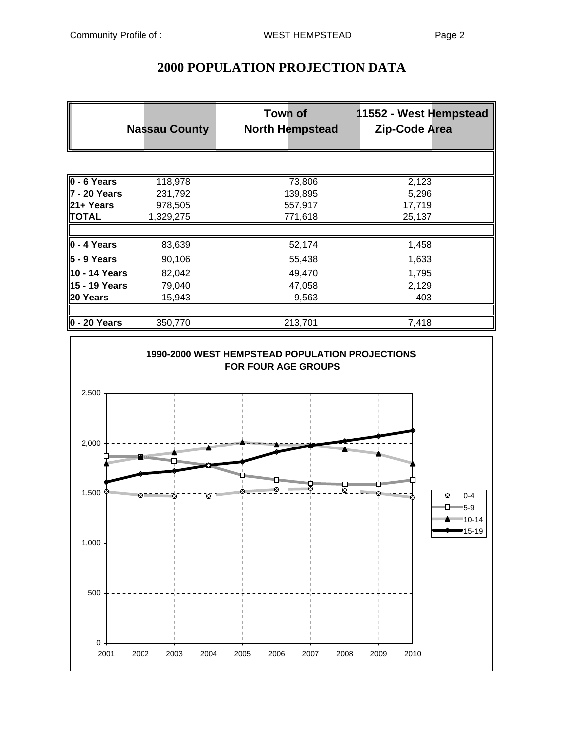|               | <b>Nassau County</b> | <b>Town of</b><br><b>North Hempstead</b> | 11552 - West Hempstead<br>Zip-Code Area |
|---------------|----------------------|------------------------------------------|-----------------------------------------|
|               |                      |                                          |                                         |
| $0 - 6$ Years | 118,978              | 73,806                                   | 2,123                                   |
| 7 - 20 Years  | 231,792              | 139,895                                  | 5,296                                   |
| 21+ Years     | 978,505              | 557,917                                  | 17,719                                  |
| TOTAL         | 1,329,275            | 771,618                                  | 25,137                                  |
|               |                      |                                          |                                         |
| 0 - 4 Years   | 83,639               | 52,174                                   | 1,458                                   |
| 5 - 9 Years   | 90,106               | 55,438                                   | 1,633                                   |
| 10 - 14 Years | 82,042               | 49,470                                   | 1,795                                   |
| 15 - 19 Years | 79,040               | 47,058                                   | 2,129                                   |
| 20 Years      | 15,943               | 9,563                                    | 403                                     |
|               |                      |                                          |                                         |

# **2000 POPULATION PROJECTION DATA**

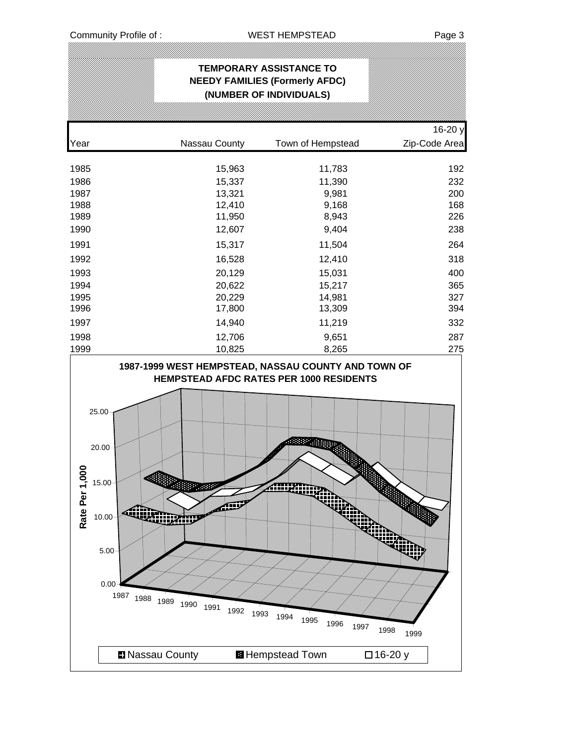| <u> Karal Karal Maharatson karal Maharatson karal Maharatson karal Maharatson karal Maharatson karal Maharatson k</u><br><b>TEMPORARY ASSISTANCE TO</b><br><b>NEEDY FAMILIES (Formerly AFDC)</b><br>(NUMBER OF INDIVIDUALS) |                  |                |            |  |  |  |  |  |  |  |
|-----------------------------------------------------------------------------------------------------------------------------------------------------------------------------------------------------------------------------|------------------|----------------|------------|--|--|--|--|--|--|--|
| 16-20 y<br>Year<br>Zip-Code Area<br>Nassau County<br>Town of Hempstead                                                                                                                                                      |                  |                |            |  |  |  |  |  |  |  |
|                                                                                                                                                                                                                             |                  |                |            |  |  |  |  |  |  |  |
| 1985                                                                                                                                                                                                                        | 15,963           | 11,783         | 192        |  |  |  |  |  |  |  |
| 1986                                                                                                                                                                                                                        | 15,337           | 11,390         | 232        |  |  |  |  |  |  |  |
| 1987<br>1988                                                                                                                                                                                                                | 13,321<br>12,410 | 9,981<br>9,168 | 200<br>168 |  |  |  |  |  |  |  |
| 1989                                                                                                                                                                                                                        | 11,950           | 8,943          | 226        |  |  |  |  |  |  |  |
| 1990                                                                                                                                                                                                                        | 12,607           | 9,404          | 238        |  |  |  |  |  |  |  |
| 1991                                                                                                                                                                                                                        | 15,317           | 11,504         | 264        |  |  |  |  |  |  |  |
| 1992                                                                                                                                                                                                                        | 16,528           | 12,410         | 318        |  |  |  |  |  |  |  |
| 1993                                                                                                                                                                                                                        | 20,129           | 15,031         | 400        |  |  |  |  |  |  |  |
| 1994                                                                                                                                                                                                                        | 20,622           | 15,217         | 365        |  |  |  |  |  |  |  |
| 1995                                                                                                                                                                                                                        | 20,229           | 14,981         | 327        |  |  |  |  |  |  |  |
| 1996                                                                                                                                                                                                                        | 17,800           | 13,309         | 394        |  |  |  |  |  |  |  |
| 1997                                                                                                                                                                                                                        | 14,940           | 11,219         | 332        |  |  |  |  |  |  |  |
| 1998                                                                                                                                                                                                                        | 12,706           | 9,651          | 287        |  |  |  |  |  |  |  |
| 1999                                                                                                                                                                                                                        | 10,825           | 8,265          | 275        |  |  |  |  |  |  |  |

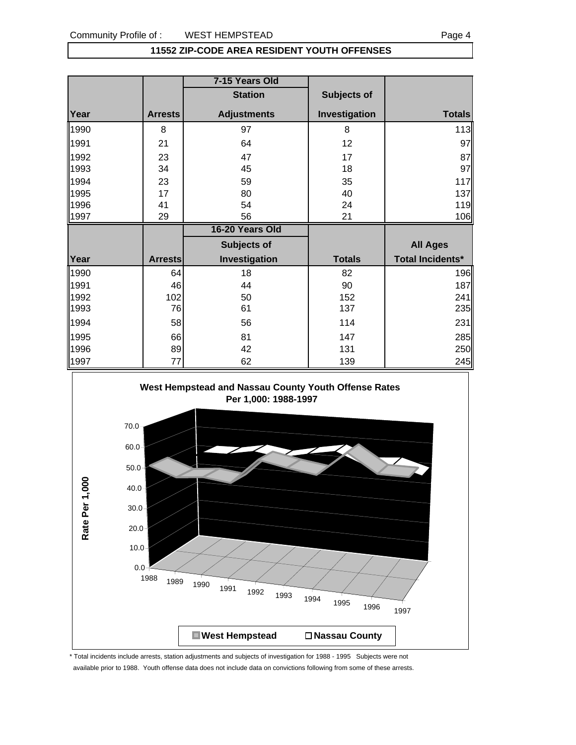### **11552 ZIP-CODE AREA RESIDENT YOUTH OFFENSES**

|      |                | 7-15 Years Old     |               |                         |
|------|----------------|--------------------|---------------|-------------------------|
|      |                | <b>Station</b>     | Subjects of   |                         |
| Year | <b>Arrests</b> | <b>Adjustments</b> | Investigation | <b>Totals</b>           |
| 1990 | 8              | 97                 | 8             | 113                     |
| 1991 | 21             | 64                 | 12            | 97                      |
| 1992 | 23             | 47                 | 17            | 87                      |
| 1993 | 34             | 45                 | 18            | 97                      |
| 1994 | 23             | 59                 | 35            | 117                     |
| 1995 | 17             | 80                 | 40            | 137                     |
| 1996 | 41             | 54                 | 24            | 119                     |
| 1997 | 29             | 56                 | 21            | 106                     |
|      |                | 16-20 Years Old    |               |                         |
|      |                | Subjects of        |               | <b>All Ages</b>         |
| Year | <b>Arrests</b> | Investigation      | <b>Totals</b> | <b>Total Incidents*</b> |
| 1990 | 64             | 18                 | 82            | 196                     |
| 1991 | 46             | 44                 | 90            | 187                     |
| 1992 | 102            | 50                 | 152           | 241                     |
| 1993 | 76             | 61                 | 137           | 235                     |
| 1994 | 58             | 56                 | 114           | 231                     |
| 1995 | 66             | 81                 | 147           | 285                     |
| 1996 | 89             | 42                 | 131           | 250                     |
| 1997 | 77             | 62                 | 139           | 245                     |



\* Total incidents include arrests, station adjustments and subjects of investigation for 1988 - 1995 Subjects were not available prior to 1988. Youth offense data does not include data on convictions following from some of these arrests.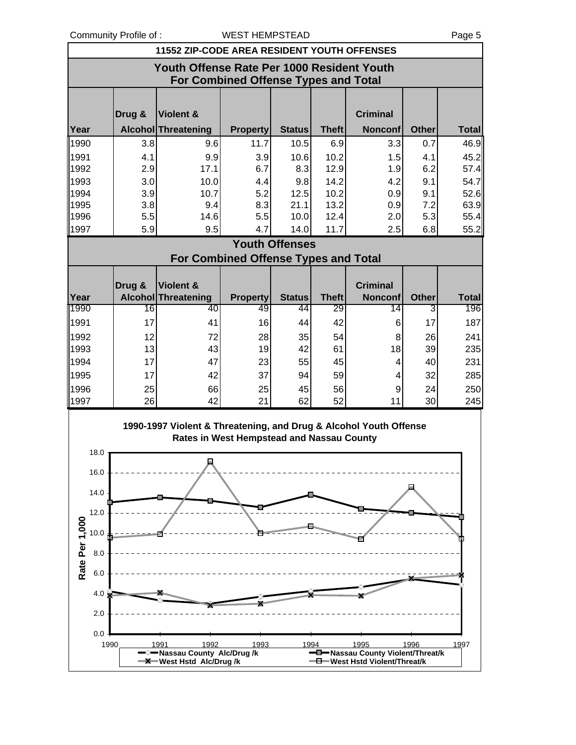|                                                                                    | <b>11552 ZIP-CODE AREA RESIDENT YOUTH OFFENSES</b> |                                             |                 |                       |              |                 |              |              |  |  |  |
|------------------------------------------------------------------------------------|----------------------------------------------------|---------------------------------------------|-----------------|-----------------------|--------------|-----------------|--------------|--------------|--|--|--|
| Youth Offense Rate Per 1000 Resident Youth<br>For Combined Offense Types and Total |                                                    |                                             |                 |                       |              |                 |              |              |  |  |  |
|                                                                                    | Drug &<br><b>Violent &amp;</b><br><b>Criminal</b>  |                                             |                 |                       |              |                 |              |              |  |  |  |
| Year                                                                               |                                                    | <b>Alcohol Threatening</b>                  | <b>Property</b> | <b>Status</b>         | <b>Theft</b> | <b>Nonconf</b>  | <b>Other</b> | <b>Total</b> |  |  |  |
| 1990                                                                               | 3.8                                                | 9.6                                         | 11.7            | 10.5                  | 6.9          | 3.3             | 0.7          | 46.9         |  |  |  |
| 1991                                                                               | 4.1                                                | 9.9                                         | 3.9             | 10.6                  | 10.2         | 1.5             | 4.1          | 45.2         |  |  |  |
| 1992                                                                               | 2.9                                                | 17.1                                        | 6.7             | 8.3                   | 12.9         | 1.9             | 6.2          | 57.4         |  |  |  |
| 1993                                                                               | 3.0                                                | 10.0                                        | 4.4             | 9.8                   | 14.2         | 4.2             | 9.1          | 54.7         |  |  |  |
| 1994                                                                               | 3.9                                                | 10.7                                        | 5.2             | 12.5                  | 10.2         | 0.9             | 9.1          | 52.6         |  |  |  |
| 1995                                                                               | 3.8                                                | 9.4                                         | 8.3             | 21.1                  | 13.2         | 0.9             | 7.2          | 63.9         |  |  |  |
| 1996                                                                               | 5.5                                                | 14.6                                        | 5.5             | 10.0                  | 12.4         | 2.0             | 5.3          | 55.4         |  |  |  |
| 1997                                                                               | 5.9                                                | 9.5                                         | 4.7             | 14.0                  | 11.7         | 2.5             | 6.8          | 55.2         |  |  |  |
|                                                                                    |                                                    |                                             |                 | <b>Youth Offenses</b> |              |                 |              |              |  |  |  |
|                                                                                    |                                                    | <b>For Combined Offense Types and Total</b> |                 |                       |              |                 |              |              |  |  |  |
|                                                                                    |                                                    |                                             |                 |                       |              |                 |              |              |  |  |  |
|                                                                                    | Drug &                                             | Violent &                                   |                 |                       |              | <b>Criminal</b> |              |              |  |  |  |
| Year                                                                               |                                                    | Alcohol Threatening                         | <b>Property</b> | <b>Status</b>         | Theft        | <b>Nonconf</b>  | <b>Other</b> | <b>Total</b> |  |  |  |
| 1990                                                                               | 16                                                 | 40                                          | 49              | 44                    | 29           | 14              | 3            | 196          |  |  |  |
| 1991                                                                               | 17                                                 | 41                                          | 16              | 44                    | 42           | 6               | 17           | 187          |  |  |  |
| 1002                                                                               | 12                                                 | 72                                          | 28 <sub>l</sub> | วรไ                   | 51           | $\mathsf{R}$    | 26           | 211          |  |  |  |

| 1991 | 17 | 41 | 16 | 44 | 42 | 6  | 17 <sub>1</sub> | 187 |
|------|----|----|----|----|----|----|-----------------|-----|
| 1992 | 12 | 72 | 28 | 35 | 54 | 8  | 26              | 241 |
| 1993 | 13 | 43 | 19 | 42 | 61 | 18 | 39              | 235 |
| 1994 | 17 | 47 | 23 | 55 | 45 | 4  | 40              | 231 |
| 1995 | 17 | 42 | 37 | 94 | 59 | 4  | 32              | 285 |
| 1996 | 25 | 66 | 25 | 45 | 56 | 9  | 24              | 250 |
| 1997 | 26 | 42 | 21 | 62 | 52 | 11 | 30              | 245 |
|      |    |    |    |    |    |    |                 |     |

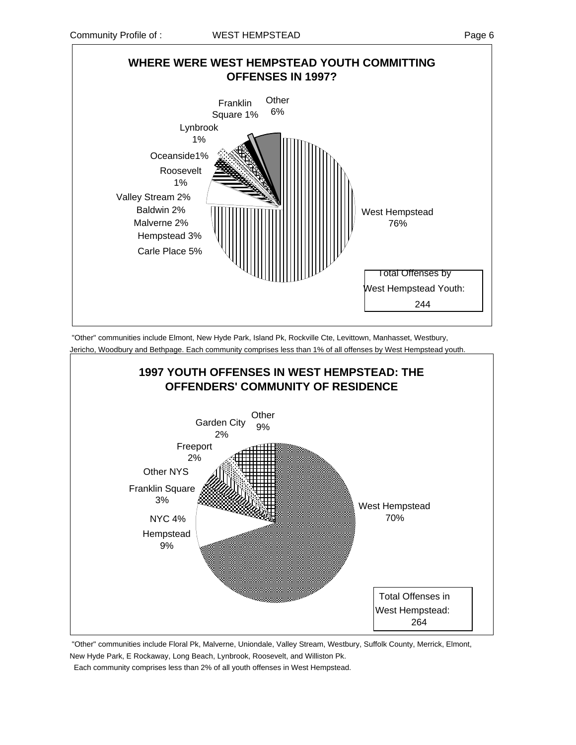

 "Other" communities include Elmont, New Hyde Park, Island Pk, Rockville Cte, Levittown, Manhasset, Westbury, Jericho, Woodbury and Bethpage. Each community comprises less than 1% of all offenses by West Hempstead youth.



 "Other" communities include Floral Pk, Malverne, Uniondale, Valley Stream, Westbury, Suffolk County, Merrick, Elmont, New Hyde Park, E Rockaway, Long Beach, Lynbrook, Roosevelt, and Williston Pk.

Each community comprises less than 2% of all youth offenses in West Hempstead.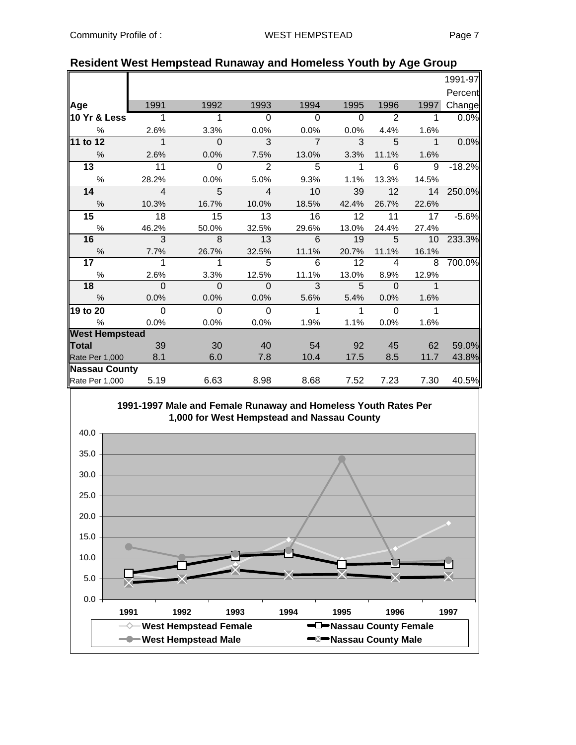| <b>Resident West Hempstead Runaway and Homeless Youth by Age Group</b> |  |  |  |  |
|------------------------------------------------------------------------|--|--|--|--|
|------------------------------------------------------------------------|--|--|--|--|

|                       |                |                 |                 |                |              |                |                | 1991-97  |
|-----------------------|----------------|-----------------|-----------------|----------------|--------------|----------------|----------------|----------|
|                       |                |                 |                 |                |              |                |                | Percent  |
| Age                   | 1991           | 1992            | 1993            | 1994           | 1995         | 1996           | 1997           | Change   |
| 10 Yr & Less          | $\overline{1}$ | 1               | $\mathbf 0$     | $\mathbf 0$    | $\mathbf 0$  | $\overline{2}$ | $\mathbf 1$    | 0.0%     |
| %                     | 2.6%           | 3.3%            | 0.0%            | 0.0%           | 0.0%         | 4.4%           | 1.6%           |          |
| 11 to 12              | $\mathbf 1$    | $\Omega$        | 3               | $\overline{7}$ | 3            | 5              | $\mathbf{1}$   | 0.0%     |
| %                     | 2.6%           | 0.0%            | 7.5%            | 13.0%          | 3.3%         | 11.1%          | 1.6%           |          |
| 13                    | 11             | $\overline{0}$  | $\overline{2}$  | $\overline{5}$ | 1            | 6              | 9              | $-18.2%$ |
| $\%$                  | 28.2%          | 0.0%            | 5.0%            | 9.3%           | 1.1%         | 13.3%          | 14.5%          |          |
| 14                    | $\overline{4}$ | 5               | $\overline{4}$  | 10             | 39           | 12             | 14             | 250.0%   |
| $\%$                  | 10.3%          | 16.7%           | 10.0%           | 18.5%          | 42.4%        | 26.7%          | 22.6%          |          |
| 15                    | 18             | $\overline{15}$ | $\overline{13}$ | 16             | 12           | 11             | 17             | $-5.6%$  |
| $\%$                  | 46.2%          | 50.0%           | 32.5%           | 29.6%          | 13.0%        | 24.4%          | 27.4%          |          |
| 16                    | $\overline{3}$ | 8               | 13              | 6              | 19           | 5              | 10             | 233.3%   |
| $\%$                  | 7.7%           | 26.7%           | 32.5%           | 11.1%          | 20.7%        | 11.1%          | 16.1%          |          |
| 17                    | 1              | 1               | 5               | 6              | 12           | 4              | 8              | 700.0%   |
| %                     | 2.6%           | 3.3%            | 12.5%           | 11.1%          | 13.0%        | 8.9%           | 12.9%          |          |
| 18                    | $\Omega$       | $\mathbf{0}$    | $\Omega$        | 3              | 5            | $\Omega$       | $\overline{1}$ |          |
| $\frac{0}{0}$         | 0.0%           | 0.0%            | 0.0%            | 5.6%           | 5.4%         | 0.0%           | 1.6%           |          |
| 19 to 20              | $\Omega$       | $\Omega$        | $\Omega$        | $\mathbf{1}$   | $\mathbf{1}$ | $\Omega$       | $\overline{1}$ |          |
| %                     | 0.0%           | 0.0%            | 0.0%            | 1.9%           | 1.1%         | 0.0%           | 1.6%           |          |
| <b>West Hempstead</b> |                |                 |                 |                |              |                |                |          |
| <b>Total</b>          | 39             | 30              | 40              | 54             | 92           | 45             | 62             | 59.0%    |
| Rate Per 1,000        | 8.1            | 6.0             | 7.8             | 10.4           | 17.5         | 8.5            | 11.7           | 43.8%    |
| <b>Nassau County</b>  |                |                 |                 |                |              |                |                |          |
| Rate Per 1,000        | 5.19           | 6.63            | 8.98            | 8.68           | 7.52         | 7.23           | 7.30           | 40.5%    |



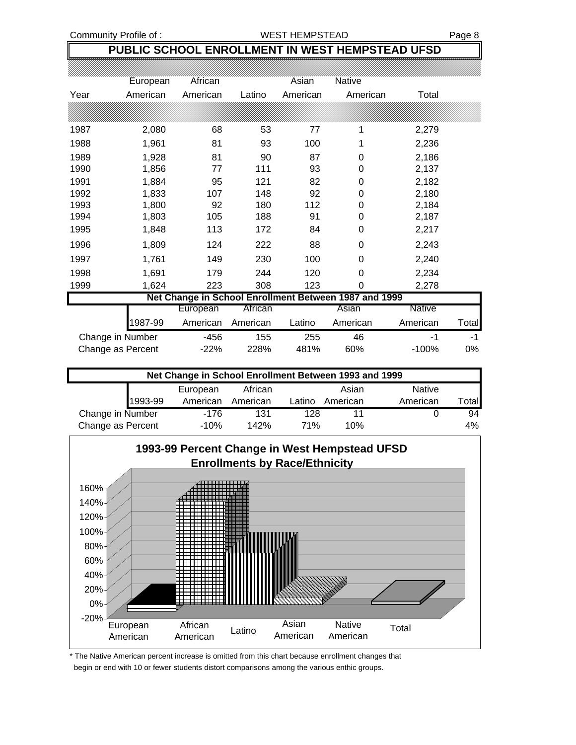### Community Profile of : WEST HEMPSTEAD Page 8

# **PUBLIC SCHOOL ENROLLMENT IN WEST HEMPSTEAD UFSD**

|      | European          | African  |          | Asian    | <b>Native</b>                                         |          |       |
|------|-------------------|----------|----------|----------|-------------------------------------------------------|----------|-------|
| Year | American          | American | Latino   | American | American                                              | Total    |       |
|      |                   |          |          |          |                                                       |          |       |
| 1987 | 2,080             | 68       | 53       | 77       | 1                                                     | 2,279    |       |
| 1988 | 1,961             | 81       | 93       | 100      | 1                                                     | 2,236    |       |
| 1989 | 1,928             | 81       | 90       | 87       | 0                                                     | 2,186    |       |
| 1990 | 1,856             | 77       | 111      | 93       | 0                                                     | 2,137    |       |
| 1991 | 1,884             | 95       | 121      | 82       | 0                                                     | 2,182    |       |
| 1992 | 1,833             | 107      | 148      | 92       | 0                                                     | 2,180    |       |
| 1993 | 1,800             | 92       | 180      | 112      | 0                                                     | 2,184    |       |
| 1994 | 1,803             | 105      | 188      | 91       | 0                                                     | 2,187    |       |
| 1995 | 1,848             | 113      | 172      | 84       | 0                                                     | 2,217    |       |
| 1996 | 1,809             | 124      | 222      | 88       | 0                                                     | 2,243    |       |
| 1997 | 1,761             | 149      | 230      | 100      | 0                                                     | 2,240    |       |
| 1998 | 1,691             | 179      | 244      | 120      | 0                                                     | 2,234    |       |
| 1999 | 1,624             | 223      | 308      | 123      | 0                                                     | 2,278    |       |
|      |                   |          |          |          | Net Change in School Enrollment Between 1987 and 1999 |          |       |
|      |                   | European | African  |          | Asian                                                 | Native   |       |
|      | 1987-99           | American | American | Latino   | American                                              | American | Total |
|      | Change in Number  | $-456$   | 155      | 255      | 46                                                    | -1       | $-1$  |
|      | Change as Percent | $-22%$   | 228%     | 481%     | 60%                                                   | $-100%$  | 0%    |

|                   | Net Change in School Enrollment Between 1993 and 1999 |          |          |        |          |               |       |  |  |  |  |
|-------------------|-------------------------------------------------------|----------|----------|--------|----------|---------------|-------|--|--|--|--|
|                   |                                                       | European | African  |        | Asian    | <b>Native</b> |       |  |  |  |  |
|                   | 1993-99                                               | American | American | Latino | American | American      | ™otal |  |  |  |  |
| Change in Number  |                                                       | $-176$   | 131      | 128    |          |               | 94    |  |  |  |  |
| Change as Percent |                                                       | $-10%$   | 142%     | 71%    | 10%      |               | 4%    |  |  |  |  |



\* The Native American percent increase is omitted from this chart because enrollment changes that begin or end with 10 or fewer students distort comparisons among the various enthic groups.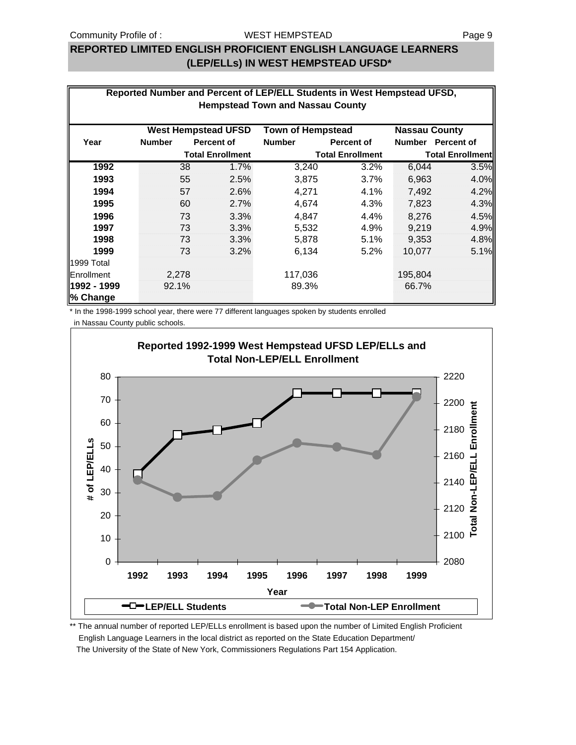### Community Profile of : **Page 9** WEST HEMPSTEAD WEST HEMPSTEAD

## **REPORTED LIMITED ENGLISH PROFICIENT ENGLISH LANGUAGE LEARNERS (LEP/ELLs) IN WEST HEMPSTEAD UFSD\***

|             | Reported Number and Percent of LEP/ELL Students in West Hempstead UFSD,        |                         |               |                         |               |                         |  |  |  |  |  |  |
|-------------|--------------------------------------------------------------------------------|-------------------------|---------------|-------------------------|---------------|-------------------------|--|--|--|--|--|--|
|             | <b>Hempstead Town and Nassau County</b>                                        |                         |               |                         |               |                         |  |  |  |  |  |  |
|             | <b>West Hempstead UFSD</b><br><b>Town of Hempstead</b><br><b>Nassau County</b> |                         |               |                         |               |                         |  |  |  |  |  |  |
| Year        | <b>Number</b>                                                                  | Percent of              | <b>Number</b> | <b>Percent of</b>       | <b>Number</b> | <b>Percent of</b>       |  |  |  |  |  |  |
|             |                                                                                | <b>Total Enrollment</b> |               | <b>Total Enrollment</b> |               | <b>Total Enrollment</b> |  |  |  |  |  |  |
| 1992        | 38                                                                             | 1.7%                    | 3,240         | 3.2%                    | 6,044         | 3.5%                    |  |  |  |  |  |  |
| 1993        | 55                                                                             | 2.5%                    | 3,875         | 3.7%                    | 6,963         | 4.0%                    |  |  |  |  |  |  |
| 1994        | 57                                                                             | 2.6%                    | 4,271         | 4.1%                    | 7,492         | 4.2%                    |  |  |  |  |  |  |
| 1995        | 60                                                                             | 2.7%                    | 4,674         | 4.3%                    | 7,823         | 4.3%                    |  |  |  |  |  |  |
| 1996        | 73                                                                             | 3.3%                    | 4,847         | 4.4%                    | 8,276         | 4.5%                    |  |  |  |  |  |  |
| 1997        | 73                                                                             | 3.3%                    | 5,532         | 4.9%                    | 9,219         | 4.9%                    |  |  |  |  |  |  |
| 1998        | 73                                                                             | 3.3%                    | 5,878         | 5.1%                    | 9,353         | 4.8%                    |  |  |  |  |  |  |
| 1999        | 73                                                                             | 3.2%                    | 6,134         | 5.2%                    | 10,077        | 5.1%                    |  |  |  |  |  |  |
| 1999 Total  |                                                                                |                         |               |                         |               |                         |  |  |  |  |  |  |
| Enrollment  | 2,278                                                                          |                         | 117,036       |                         | 195,804       |                         |  |  |  |  |  |  |
| 1992 - 1999 | 92.1%                                                                          |                         | 89.3%         |                         | 66.7%         |                         |  |  |  |  |  |  |
| % Change    |                                                                                |                         |               |                         |               |                         |  |  |  |  |  |  |

\* In the 1998-1999 school year, there were 77 different languages spoken by students enrolled

in Nassau County public schools.



\*\* The annual number of reported LEP/ELLs enrollment is based upon the number of Limited English Proficient English Language Learners in the local district as reported on the State Education Department/ The University of the State of New York, Commissioners Regulations Part 154 Application.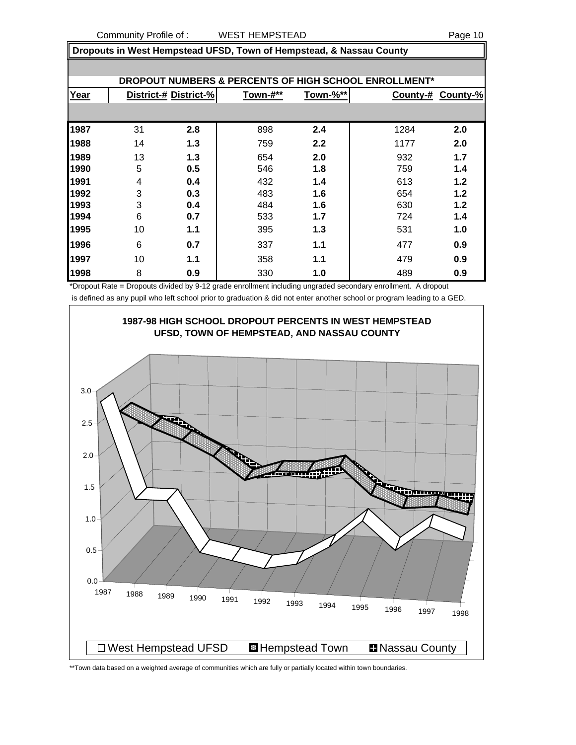**Dropouts in West Hempstead UFSD, Town of Hempstead, & Nassau County**

| <b>DROPOUT NUMBERS &amp; PERCENTS OF HIGH SCHOOL ENROLLMENT*</b> |    |                       |          |          |      |                   |  |  |
|------------------------------------------------------------------|----|-----------------------|----------|----------|------|-------------------|--|--|
| Year                                                             |    | District-# District-% | Town-#** | Town-%** |      | County-# County-% |  |  |
|                                                                  |    |                       |          |          |      |                   |  |  |
| 1987                                                             | 31 | 2.8                   | 898      | 2.4      | 1284 | 2.0               |  |  |
| 1988                                                             | 14 | 1.3                   | 759      | 2.2      | 1177 | 2.0               |  |  |
| 1989                                                             | 13 | 1.3                   | 654      | 2.0      | 932  | 1.7               |  |  |
| 1990                                                             | 5  | 0.5                   | 546      | 1.8      | 759  | 1.4               |  |  |
| 1991                                                             | 4  | 0.4                   | 432      | 1.4      | 613  | 1.2               |  |  |
| 1992                                                             | 3  | 0.3                   | 483      | 1.6      | 654  | 1.2               |  |  |
| 1993                                                             | 3  | 0.4                   | 484      | 1.6      | 630  | 1.2               |  |  |
| 1994                                                             | 6  | 0.7                   | 533      | 1.7      | 724  | 1.4               |  |  |
| 1995                                                             | 10 | 1.1                   | 395      | 1.3      | 531  | 1.0               |  |  |
| 1996                                                             | 6  | 0.7                   | 337      | 1.1      | 477  | 0.9               |  |  |
| 1997                                                             | 10 | 1.1                   | 358      | 1.1      | 479  | 0.9               |  |  |
| 1998                                                             | 8  | 0.9                   | 330      | 1.0      | 489  | 0.9               |  |  |

\*Dropout Rate = Dropouts divided by 9-12 grade enrollment including ungraded secondary enrollment. A dropout is defined as any pupil who left school prior to graduation & did not enter another school or program leading to a GED.



\*\*Town data based on a weighted average of communities which are fully or partially located within town boundaries.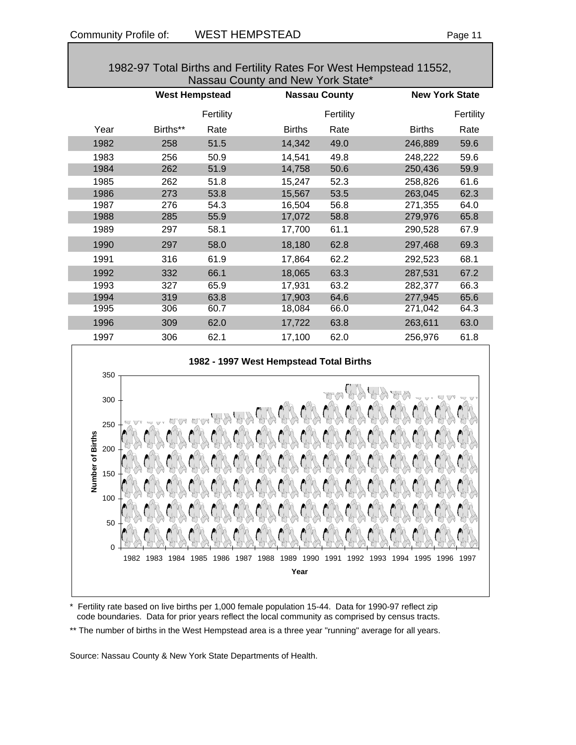| Nassau County and New York State* |                       |           |                      |           |               |                       |  |  |
|-----------------------------------|-----------------------|-----------|----------------------|-----------|---------------|-----------------------|--|--|
|                                   | <b>West Hempstead</b> |           | <b>Nassau County</b> |           |               | <b>New York State</b> |  |  |
|                                   |                       | Fertility |                      | Fertility |               | Fertility             |  |  |
| Year                              | Births**              | Rate      | <b>Births</b>        | Rate      | <b>Births</b> | Rate                  |  |  |
| 1982                              | 258                   | 51.5      | 14,342               | 49.0      | 246,889       | 59.6                  |  |  |
| 1983                              | 256                   | 50.9      | 14,541               | 49.8      | 248,222       | 59.6                  |  |  |
| 1984                              | 262                   | 51.9      | 14,758               | 50.6      | 250,436       | 59.9                  |  |  |
| 1985                              | 262                   | 51.8      | 15,247               | 52.3      | 258,826       | 61.6                  |  |  |
| 1986                              | 273                   | 53.8      | 15,567               | 53.5      | 263,045       | 62.3                  |  |  |
| 1987                              | 276                   | 54.3      | 16,504               | 56.8      | 271,355       | 64.0                  |  |  |
| 1988                              | 285                   | 55.9      | 17,072               | 58.8      | 279,976       | 65.8                  |  |  |
| 1989                              | 297                   | 58.1      | 17,700               | 61.1      | 290,528       | 67.9                  |  |  |
| 1990                              | 297                   | 58.0      | 18,180               | 62.8      | 297,468       | 69.3                  |  |  |
| 1991                              | 316                   | 61.9      | 17,864               | 62.2      | 292,523       | 68.1                  |  |  |
| 1992                              | 332                   | 66.1      | 18,065               | 63.3      | 287,531       | 67.2                  |  |  |
| 1993                              | 327                   | 65.9      | 17,931               | 63.2      | 282,377       | 66.3                  |  |  |
| 1994                              | 319                   | 63.8      | 17,903               | 64.6      | 277,945       | 65.6                  |  |  |
| 1995                              | 306                   | 60.7      | 18,084               | 66.0      | 271,042       | 64.3                  |  |  |
| 1996                              | 309                   | 62.0      | 17,722               | 63.8      | 263,611       | 63.0                  |  |  |
| 1997                              | 306                   | 62.1      | 17,100               | 62.0      | 256,976       | 61.8                  |  |  |

1982-97 Total Births and Fertility Rates For West Hempstead 11552,

### **1982 - 1997 West Hempstead Total Births**



- Fertility rate based on live births per 1,000 female population 15-44. Data for 1990-97 reflect zip code boundaries. Data for prior years reflect the local community as comprised by census tracts.
- \*\* The number of births in the West Hempstead area is a three year "running" average for all years.

Source: Nassau County & New York State Departments of Health.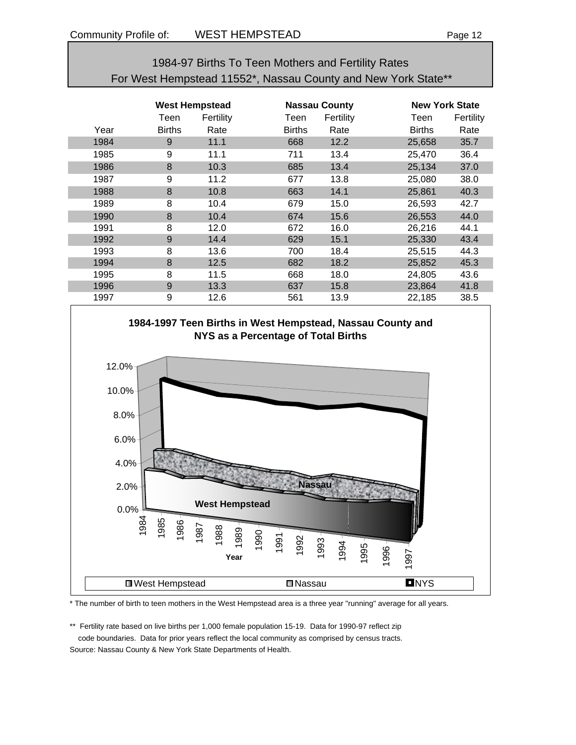## 1984-97 Births To Teen Mothers and Fertility Rates For West Hempstead 11552\*, Nassau County and New York State\*\*

|      | <b>West Hempstead</b> |           | <b>Nassau County</b> |           | <b>New York State</b> |           |
|------|-----------------------|-----------|----------------------|-----------|-----------------------|-----------|
|      | Teen                  | Fertility | Teen                 | Fertility | Teen                  | Fertility |
| Year | <b>Births</b>         | Rate      | <b>Births</b>        | Rate      | <b>Births</b>         | Rate      |
| 1984 | 9                     | 11.1      | 668                  | 12.2      | 25,658                | 35.7      |
| 1985 | 9                     | 11.1      | 711                  | 13.4      | 25,470                | 36.4      |
| 1986 | 8                     | 10.3      | 685                  | 13.4      | 25,134                | 37.0      |
| 1987 | 9                     | 11.2      | 677                  | 13.8      | 25,080                | 38.0      |
| 1988 | 8                     | 10.8      | 663                  | 14.1      | 25,861                | 40.3      |
| 1989 | 8                     | 10.4      | 679                  | 15.0      | 26,593                | 42.7      |
| 1990 | 8                     | 10.4      | 674                  | 15.6      | 26,553                | 44.0      |
| 1991 | 8                     | 12.0      | 672                  | 16.0      | 26,216                | 44.1      |
| 1992 | 9                     | 14.4      | 629                  | 15.1      | 25,330                | 43.4      |
| 1993 | 8                     | 13.6      | 700                  | 18.4      | 25,515                | 44.3      |
| 1994 | 8                     | 12.5      | 682                  | 18.2      | 25,852                | 45.3      |
| 1995 | 8                     | 11.5      | 668                  | 18.0      | 24,805                | 43.6      |
| 1996 | 9                     | 13.3      | 637                  | 15.8      | 23,864                | 41.8      |
| 1997 | 9                     | 12.6      | 561                  | 13.9      | 22,185                | 38.5      |





\* The number of birth to teen mothers in the West Hempstead area is a three year "running" average for all years.

\*\* Fertility rate based on live births per 1,000 female population 15-19. Data for 1990-97 reflect zip code boundaries. Data for prior years reflect the local community as comprised by census tracts.